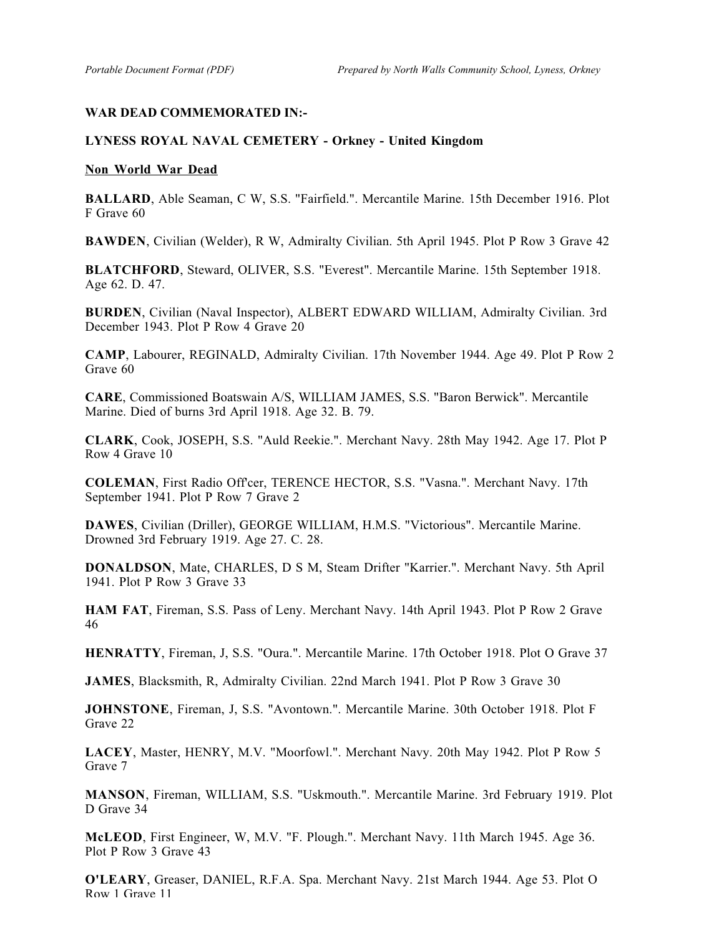## **WAR DEAD COMMEMORATED IN:-**

## **LYNESS ROYAL NAVAL CEMETERY - Orkney - United Kingdom**

## **Non World War Dead**

**BALLARD**, Able Seaman, C W, S.S. "Fairfield.". Mercantile Marine. 15th December 1916. Plot F Grave 60

**BAWDEN**, Civilian (Welder), R W, Admiralty Civilian. 5th April 1945. Plot P Row 3 Grave 42

**BLATCHFORD**, Steward, OLIVER, S.S. "Everest". Mercantile Marine. 15th September 1918. Age 62. D. 47.

**BURDEN**, Civilian (Naval Inspector), ALBERT EDWARD WILLIAM, Admiralty Civilian. 3rd December 1943. Plot P Row 4 Grave 20

**CAMP**, Labourer, REGINALD, Admiralty Civilian. 17th November 1944. Age 49. Plot P Row 2 Grave 60

**CARE**, Commissioned Boatswain A/S, WILLIAM JAMES, S.S. "Baron Berwick". Mercantile Marine. Died of burns 3rd April 1918. Age 32. B. 79.

**CLARK**, Cook, JOSEPH, S.S. "Auld Reekie.". Merchant Navy. 28th May 1942. Age 17. Plot P Row 4 Grave 10

**COLEMAN**, First Radio Off'cer, TERENCE HECTOR, S.S. "Vasna.". Merchant Navy. 17th September 1941. Plot P Row 7 Grave 2

**DAWES**, Civilian (Driller), GEORGE WILLIAM, H.M.S. "Victorious". Mercantile Marine. Drowned 3rd February 1919. Age 27. C. 28.

**DONALDSON**, Mate, CHARLES, D S M, Steam Drifter "Karrier.". Merchant Navy. 5th April 1941. Plot P Row 3 Grave 33

**HAM FAT**, Fireman, S.S. Pass of Leny. Merchant Navy. 14th April 1943. Plot P Row 2 Grave 46

**HENRATTY**, Fireman, J, S.S. "Oura.". Mercantile Marine. 17th October 1918. Plot O Grave 37

**JAMES**, Blacksmith, R, Admiralty Civilian. 22nd March 1941. Plot P Row 3 Grave 30

**JOHNSTONE**, Fireman, J, S.S. "Avontown.". Mercantile Marine. 30th October 1918. Plot F Grave 22

**LACEY**, Master, HENRY, M.V. "Moorfowl.". Merchant Navy. 20th May 1942. Plot P Row 5 Grave 7

**MANSON**, Fireman, WILLIAM, S.S. "Uskmouth.". Mercantile Marine. 3rd February 1919. Plot D Grave 34

**McLEOD**, First Engineer, W, M.V. "F. Plough.". Merchant Navy. 11th March 1945. Age 36. Plot P Row 3 Grave 43

**O'LEARY**, Greaser, DANIEL, R.F.A. Spa. Merchant Navy. 21st March 1944. Age 53. Plot O Row 1 Grave 11